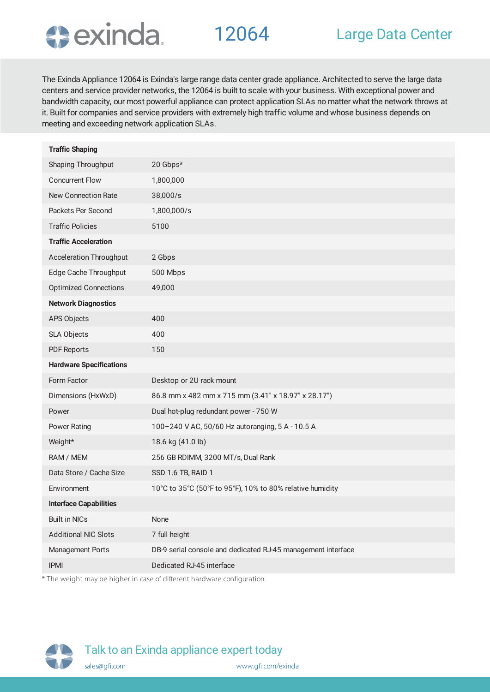

The Exinda Appliance 12064 is Exinda's large range data center grade appliance. Architected to serve the large data centers and service provider networks, the 12064 is built to scale with your business. With exceptional power and bandwidth capacity, our most powerful appliance can protect application SLAs no matter what the network throws at it. Built for companies and service providers with extremely high traffic volume and whose business depends on meeting and exceeding network application SLAs.

| <b>Traffic Shaping</b>         |                                                              |
|--------------------------------|--------------------------------------------------------------|
| Shaping Throughput             | 20 Gbps*                                                     |
| <b>Concurrent Flow</b>         | 1,800,000                                                    |
| <b>New Connection Rate</b>     | 38,000/s                                                     |
| Packets Per Second             | 1,800,000/s                                                  |
| <b>Traffic Policies</b>        | 5100                                                         |
| <b>Traffic Acceleration</b>    |                                                              |
| <b>Acceleration Throughput</b> | 2 Gbps                                                       |
| Edge Cache Throughput          | 500 Mbps                                                     |
| <b>Optimized Connections</b>   | 49,000                                                       |
| <b>Network Diagnostics</b>     |                                                              |
| APS Objects                    | 400                                                          |
| SLA Objects                    | 400                                                          |
| <b>PDF Reports</b>             | 150                                                          |
| <b>Hardware Specifications</b> |                                                              |
| Form Factor                    | Desktop or 2U rack mount                                     |
| Dimensions (HxWxD)             | 86.8 mm x 482 mm x 715 mm (3.41" x 18.97" x 28.17")          |
| Power                          | Dual hot-plug redundant power - 750 W                        |
| <b>Power Rating</b>            | 100-240 V AC, 50/60 Hz autoranging, 5 A - 10.5 A             |
| Weight*                        | 18.6 kg (41.0 lb)                                            |
| RAM / MEM                      | 256 GB RDIMM, 3200 MT/s, Dual Rank                           |
| Data Store / Cache Size        | SSD 1.6 TB, RAID 1                                           |
| Environment                    | 10°C to 35°C (50°F to 95°F), 10% to 80% relative humidity    |
| <b>Interface Capabilities</b>  |                                                              |
| <b>Built in NICs</b>           | None                                                         |
| <b>Additional NIC Slots</b>    | 7 full height                                                |
| Management Ports               | DB-9 serial console and dedicated RJ-45 management interface |
| <b>IPMI</b>                    | Dedicated RJ-45 interface                                    |
|                                |                                                              |

\* The weight may be higher in case of different hardware configuration.